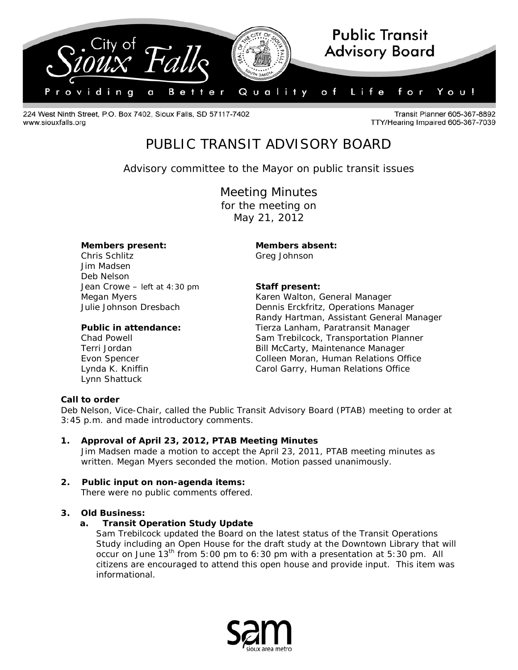

224 West Ninth Street, P.O. Box 7402, Sioux Falls, SD 57117-7402 www.siouxfalls.org

Transit Planner 605-367-8892 TTY/Hearing Impaired 605-367-7039

# PUBLIC TRANSIT ADVISORY BOARD

*Advisory committee to the Mayor on public transit issues*

Meeting Minutes for the meeting on May 21, 2012

### **Members present: Members absent:**

Chris Schlitz Greg Johnson Jim Madsen Deb Nelson Jean Crowe – *left at 4:30 pm* **Staff present:**

Lynn Shattuck

Megan Myers **Karen Walton, General Manager** Karen Walton, General Manager Julie Johnson Dresbach Dennis Erckfritz, Operations Manager Randy Hartman, Assistant General Manager **Public in attendance:** Tierza Lanham, Paratransit Manager Chad Powell Sam Trebilcock, Transportation Planner Terri Jordan Bill McCarty, Maintenance Manager Evon Spencer **Colleen Moran, Human Relations Office** Lynda K. Kniffin **Carol Garry, Human Relations Office** 

# **Call to order**

Deb Nelson, Vice-Chair, called the Public Transit Advisory Board (PTAB) meeting to order at 3:45 p.m. and made introductory comments.

- **1. Approval of April 23, 2012, PTAB Meeting Minutes** Jim Madsen made a motion to accept the April 23, 2011, PTAB meeting minutes as written. Megan Myers seconded the motion. Motion passed unanimously.
- **2. Public input on non-agenda items:**  There were no public comments offered.

# **3. Old Business:**

# **a. Transit Operation Study Update**

Sam Trebilcock updated the Board on the latest status of the Transit Operations Study including an Open House for the draft study at the Downtown Library that will occur on June  $13<sup>th</sup>$  from 5:00 pm to 6:30 pm with a presentation at 5:30 pm. All citizens are encouraged to attend this open house and provide input. This item was informational.

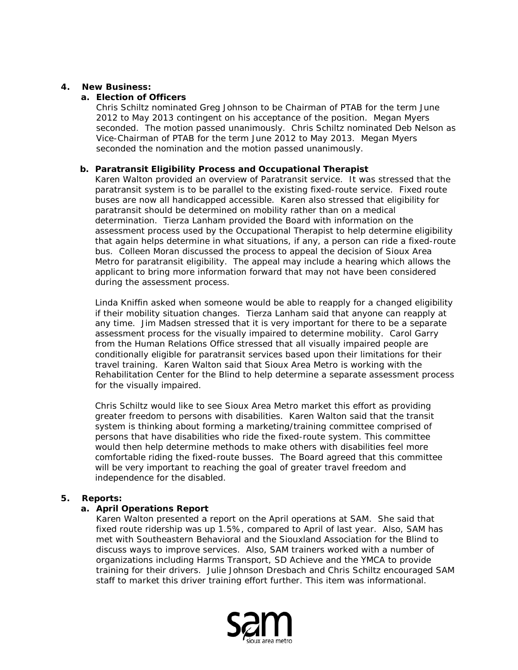## **4. New Business:**

## **a. Election of Officers**

Chris Schiltz nominated Greg Johnson to be Chairman of PTAB for the term June 2012 to May 2013 contingent on his acceptance of the position. Megan Myers seconded. The motion passed unanimously. Chris Schiltz nominated Deb Nelson as Vice-Chairman of PTAB for the term June 2012 to May 2013. Megan Myers seconded the nomination and the motion passed unanimously.

## **b. Paratransit Eligibility Process and Occupational Therapist**

Karen Walton provided an overview of Paratransit service. It was stressed that the paratransit system is to be parallel to the existing fixed-route service. Fixed route buses are now all handicapped accessible. Karen also stressed that eligibility for paratransit should be determined on mobility rather than on a medical determination. Tierza Lanham provided the Board with information on the assessment process used by the Occupational Therapist to help determine eligibility that again helps determine in what situations, if any, a person can ride a fixed-route bus. Colleen Moran discussed the process to appeal the decision of Sioux Area Metro for paratransit eligibility. The appeal may include a hearing which allows the applicant to bring more information forward that may not have been considered during the assessment process.

Linda Kniffin asked when someone would be able to reapply for a changed eligibility if their mobility situation changes. Tierza Lanham said that anyone can reapply at any time. Jim Madsen stressed that it is very important for there to be a separate assessment process for the visually impaired to determine mobility. Carol Garry from the Human Relations Office stressed that all visually impaired people are conditionally eligible for paratransit services based upon their limitations for their travel training. Karen Walton said that Sioux Area Metro is working with the Rehabilitation Center for the Blind to help determine a separate assessment process for the visually impaired.

Chris Schiltz would like to see Sioux Area Metro market this effort as providing greater freedom to persons with disabilities. Karen Walton said that the transit system is thinking about forming a marketing/training committee comprised of persons that have disabilities who ride the fixed-route system. This committee would then help determine methods to make others with disabilities feel more comfortable riding the fixed-route busses. The Board agreed that this committee will be very important to reaching the goal of greater travel freedom and independence for the disabled.

#### **5. Reports:**

# **a. April Operations Report**

Karen Walton presented a report on the April operations at SAM. She said that fixed route ridership was up 1.5%, compared to April of last year. Also, SAM has met with Southeastern Behavioral and the Siouxland Association for the Blind to discuss ways to improve services. Also, SAM trainers worked with a number of organizations including Harms Transport, SD Achieve and the YMCA to provide training for their drivers. Julie Johnson Dresbach and Chris Schiltz encouraged SAM staff to market this driver training effort further. This item was informational.